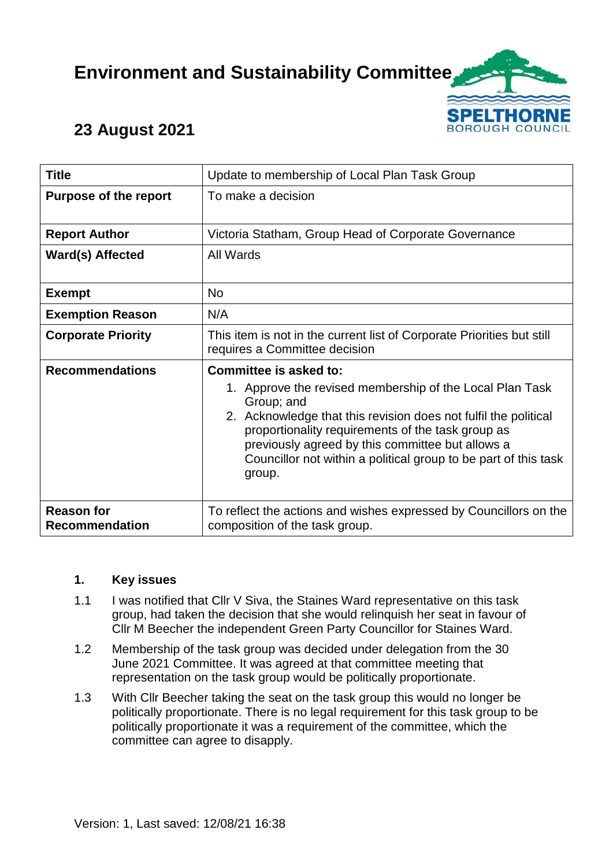# **Environment and Sustainability Committee**



# **23 August 2021**

| <b>Title</b>                               | Update to membership of Local Plan Task Group                                                                                                                                                                                                                                                                                                             |
|--------------------------------------------|-----------------------------------------------------------------------------------------------------------------------------------------------------------------------------------------------------------------------------------------------------------------------------------------------------------------------------------------------------------|
| <b>Purpose of the report</b>               | To make a decision                                                                                                                                                                                                                                                                                                                                        |
| <b>Report Author</b>                       | Victoria Statham, Group Head of Corporate Governance                                                                                                                                                                                                                                                                                                      |
| <b>Ward(s) Affected</b>                    | All Wards                                                                                                                                                                                                                                                                                                                                                 |
| <b>Exempt</b>                              | <b>No</b>                                                                                                                                                                                                                                                                                                                                                 |
| <b>Exemption Reason</b>                    | N/A                                                                                                                                                                                                                                                                                                                                                       |
| <b>Corporate Priority</b>                  | This item is not in the current list of Corporate Priorities but still<br>requires a Committee decision                                                                                                                                                                                                                                                   |
| <b>Recommendations</b>                     | Committee is asked to:<br>1. Approve the revised membership of the Local Plan Task<br>Group; and<br>2. Acknowledge that this revision does not fulfil the political<br>proportionality requirements of the task group as<br>previously agreed by this committee but allows a<br>Councillor not within a political group to be part of this task<br>group. |
| <b>Reason for</b><br><b>Recommendation</b> | To reflect the actions and wishes expressed by Councillors on the<br>composition of the task group.                                                                                                                                                                                                                                                       |

#### **1. Key issues**

- 1.1 I was notified that Cllr V Siva, the Staines Ward representative on this task group, had taken the decision that she would relinquish her seat in favour of Cllr M Beecher the independent Green Party Councillor for Staines Ward.
- 1.2 Membership of the task group was decided under delegation from the 30 June 2021 Committee. It was agreed at that committee meeting that representation on the task group would be politically proportionate.
- 1.3 With Cllr Beecher taking the seat on the task group this would no longer be politically proportionate. There is no legal requirement for this task group to be politically proportionate it was a requirement of the committee, which the committee can agree to disapply.